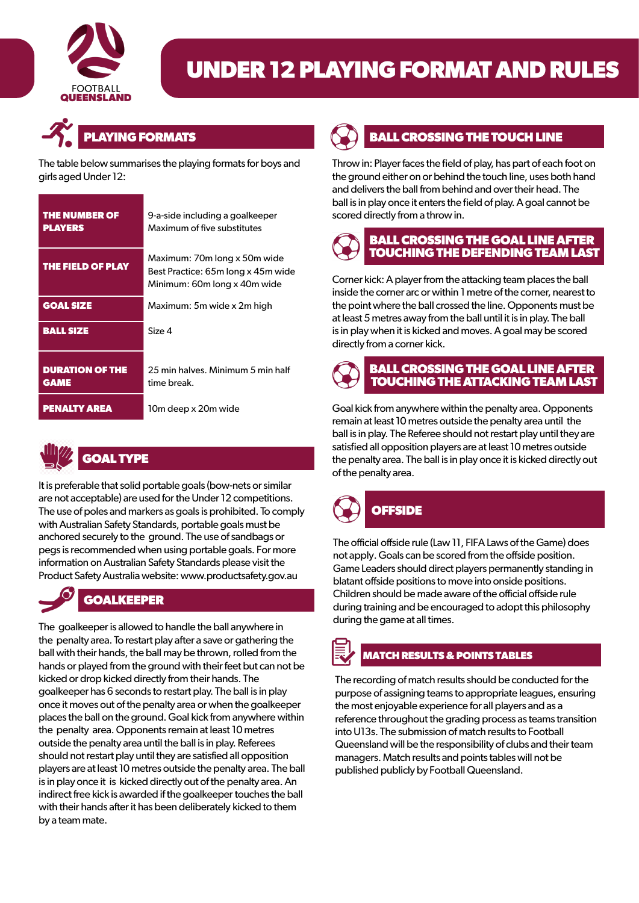

# **UNDER 12 PLAYING FORMAT AND RULES**



The table below summarises the playing formats for boys and girls aged Under 12:

| <b>THE NUMBER OF</b><br><b>PLAYERS</b> | 9-a-side including a goalkeeper<br>Maximum of five substitutes                                     |
|----------------------------------------|----------------------------------------------------------------------------------------------------|
| THE FIELD OF PLAY                      | Maximum: 70m long x 50m wide<br>Best Practice: 65m long x 45m wide<br>Minimum: 60m long x 40m wide |
| <b>GOAL SIZE</b>                       | Maximum: 5m wide x 2m high                                                                         |
| <b>BALL SIZE</b>                       | Size 4                                                                                             |
| <b>DURATION OF THE</b><br><b>GAME</b>  | 25 min halves. Minimum 5 min half<br>time break.                                                   |
| <b>PENALTY AREA</b>                    | 10m deep x 20m wide                                                                                |



It is preferable that solid portable goals (bow-nets or similar are not acceptable) are used for the Under 12 competitions. The use of poles and markers as goals is prohibited. To comply with Australian Safety Standards, portable goals must be anchored securely to the ground. The use of sandbags or pegs is recommended when using portable goals. For more information on Australian Safety Standards please visit the Product Safety Australia website: www.productsafety.gov.au

## **GOALKEEPER**

The goalkeeper is allowed to handle the ball anywhere in the penalty area. To restart play after a save or gathering the ball with their hands, the ball may be thrown, rolled from the hands or played from the ground with their feet but can not be kicked or drop kicked directly from their hands. The goalkeeper has 6 seconds to restart play. The ball is in play once it moves out of the penalty area or when the goalkeeper places the ball on the ground. Goal kick from anywhere within the penalty area. Opponents remain at least 10 metres outside the penalty area until the ball is in play. Referees should not restart play until they are satisfied all opposition players are at least 10 metres outside the penalty area. The ball is in play once it is kicked directly out of the penalty area. An indirect free kick is awarded if the goalkeeper touches the ball with their hands after it has been deliberately kicked to them by a team mate.



#### **BALL CROSSING THE TOUCH LINE**

Throw in: Player faces the field of play, has part of each foot on the ground either on or behind the touch line, uses both hand and delivers the ball from behind and over their head. The ball is in play once it enters the field of play. A goal cannot be scored directly from a throw in.

### **BALL CROSSING THE GOAL LINE AFTER TOUCHING THE DEFENDING TEAM LAST**

Corner kick: A player from the attacking team places the ball inside the corner arc or within 1 metre of the corner, nearest to the point where the ball crossed the line. Opponents must be at least 5 metres away from the ball until it is in play. The ball is in play when it is kicked and moves. A goal may be scored directly from a corner kick.



#### **BALL CROSSING THE GOAL LINE AFTER TOUCHING THE ATTACKING TEAM LAST**

Goal kick from anywhere within the penalty area. Opponents remain at least 10 metres outside the penalty area until the ball is in play. The Referee should not restart play until they are satisfied all opposition players are at least 10 metres outside the penalty area. The ball is in play once it is kicked directly out of the penalty area.



# **OFFSIDE**

The official offside rule (Law 11, FIFA Laws of the Game) does not apply. Goals can be scored from the offside position. Game Leaders should direct players permanently standing in blatant offside positions to move into onside positions. Children should be made aware of the official offside rule during training and be encouraged to adopt this philosophy during the game at all times.

# **MATCH RESULTS & POINTS TABLES**

The recording of match results should be conducted for the purpose of assigning teams to appropriate leagues, ensuring the most enjoyable experience for all players and as a reference throughout the grading process as teams transition into U13s. The submission of match results to Football Queensland will be the responsibility of clubs and their team managers. Match results and points tableswill not be published publicly by Football Queensland.